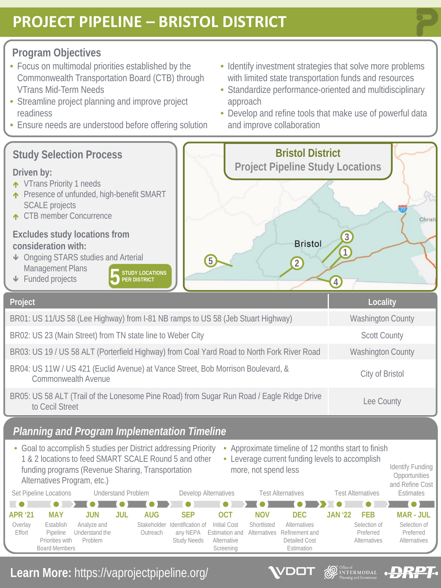# **PROJECT PIPELINE – BRISTOL DISTRICT**

### **Program Objectives**

- Focus on multimodal priorities established by the Commonwealth Transportation Board (CTB) through VTrans Mid-Term Needs
- Streamline project planning and improve project readiness
- Ensure needs are understood before offering solution
- Identify investment strategies that solve more problems with limited state transportation funds and resources
- Standardize performance-oriented and multidisciplinary approach
- Develop and refine tools that make use of powerful data and improve collaboration

**SEE DE DE DE DE DE DE DE DESCRIPTION DE LA CONSTRUCTION DE LA CONSTRUCTION DE LA CONSTRUCTION DE LA CONSTRUCTION DE LA CONSTRUCTION DE LA CONSTRUCTION DE LA CONSTRUCTION DE LA CONSTRUCTION DE LA CONSTRUCTION DE LA CONSTRU** 

DOT

**DRPT** 

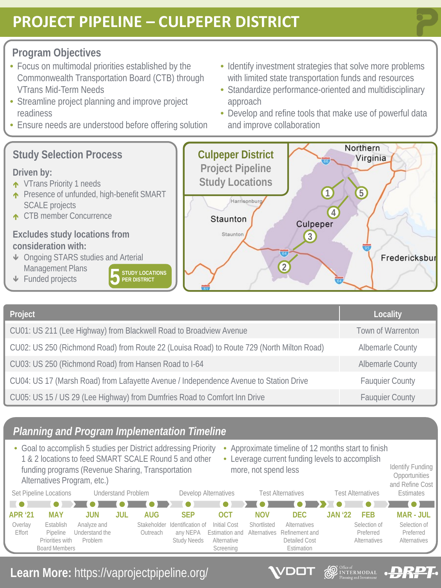# **PROJECT PIPELINE – CULPEPER DISTRICT**

### **Program Objectives**

- Focus on multimodal priorities established by the Commonwealth Transportation Board (CTB) through VTrans Mid-Term Needs
- Streamline project planning and improve project readiness
- Ensure needs are understood before offering solution
- Identify investment strategies that solve more problems with limited state transportation funds and resources
- Standardize performance-oriented and multidisciplinary approach
- Develop and refine tools that make use of powerful data and improve collaboration

**D** Office of **INTERMODAL** 

DOT

**DRPT** 



| Project                                                                                   | Locality                |
|-------------------------------------------------------------------------------------------|-------------------------|
| CU01: US 211 (Lee Highway) from Blackwell Road to Broadview Avenue                        | Town of Warrenton       |
| CU02: US 250 (Richmond Road) from Route 22 (Louisa Road) to Route 729 (North Milton Road) | <b>Albemarle County</b> |
| CU03: US 250 (Richmond Road) from Hansen Road to I-64                                     | <b>Albemarle County</b> |
| CU04: US 17 (Marsh Road) from Lafayette Avenue / Independence Avenue to Station Drive     | <b>Fauquier County</b>  |
| CU05: US 15 / US 29 (Lee Highway) from Dumfries Road to Comfort Inn Drive                 | <b>Fauquier County</b>  |

### *Planning and Program Implementation Timeline*

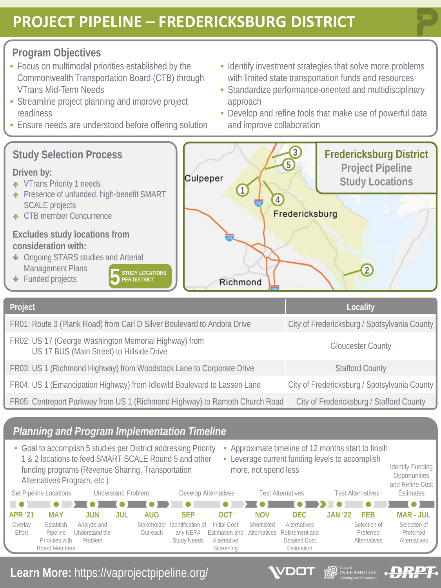## **PROJECT PIPELINE – FREDERICKSBURG DISTRICT**

### **Program Objectives**

- Focus on multimodal priorities established by the Commonwealth Transportation Board (CTB) through VTrans Mid-Term Needs
- Streamline project planning and improve project readiness
- Ensure needs are understood before offering solution
- Identify investment strategies that solve more problems with limited state transportation funds and resources
- Standardize performance-oriented and multidisciplinary approach
- Develop and refine tools that make use of powerful data and improve collaboration

**D** Office of **INTERMODAL** 

DOT

**DRPT** 



| Project                                                                                            | Locality                                     |
|----------------------------------------------------------------------------------------------------|----------------------------------------------|
| FR01: Route 3 (Plank Road) from Carl D Silver Boulevard to Andora Drive                            | City of Fredericksburg / Spotsylvania County |
| FR02: US 17 (George Washington Memorial Highway) from<br>US 17 BUS (Main Street) to Hillside Drive | <b>Gloucester County</b>                     |
| FR03: US 1 (Richmond Highway) from Woodstock Lane to Corporate Drive                               | <b>Stafford County</b>                       |
| FR04: US 1 (Emancipation Highway) from Idlewild Boulevard to Lassen Lane                           | City of Fredericksburg / Spotsylvania County |
| FR05: Centreport Parkway from US 1 (Richmond Highway) to Ramoth Church Road                        | City of Fredericksburg / Stafford County     |

### *Planning and Program Implementation Timeline*

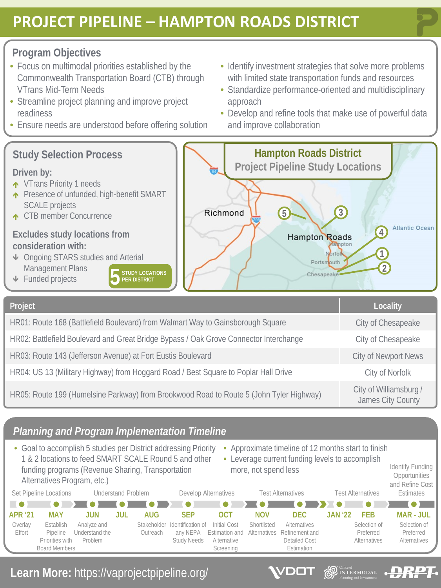# **PROJECT PIPELINE – HAMPTON ROADS DISTRICT**

#### **Program Objectives**

- Focus on multimodal priorities established by the Commonwealth Transportation Board (CTB) through VTrans Mid-Term Needs
- Streamline project planning and improve project readiness
- Ensure needs are understood before offering solution
- Identify investment strategies that solve more problems with limited state transportation funds and resources
- Standardize performance-oriented and multidisciplinary approach
- Develop and refine tools that make use of powerful data and improve collaboration

James City County

**DRPT** 



HR03: Route 143 (Jefferson Avenue) at Fort Eustis Boulevard City Communication City of Newport News

HR04: US 13 (Military Highway) from Hoggard Road / Best Square to Poplar Hall Drive City of Norfolk

HR05: Route 199 (Humelsine Parkway) from Brookwood Road to Route 5 (John Tyler Highway) City of Williamsburg /

### *Planning and Program Implementation Timeline*



**Learn More:** https://vaprojectpipeline.org/



**D** INTERMODAL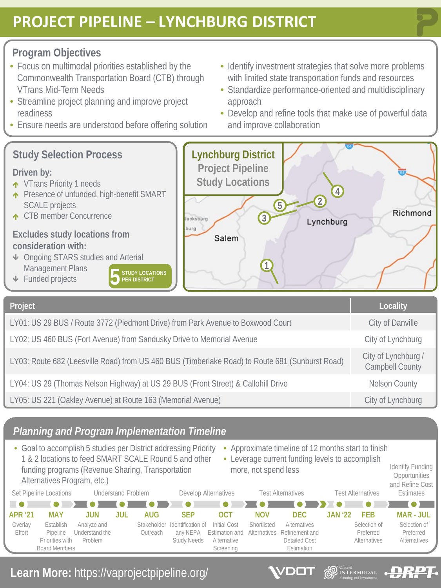# **PROJECT PIPELINE – LYNCHBURG DISTRICT**

### **Program Objectives**

- Focus on multimodal priorities established by the Commonwealth Transportation Board (CTB) through VTrans Mid-Term Needs
- Streamline project planning and improve project readiness
- Ensure needs are understood before offering solution
- Identify investment strategies that solve more problems with limited state transportation funds and resources
- Standardize performance-oriented and multidisciplinary approach
- Develop and refine tools that make use of powerful data and improve collaboration

**SEE DE DE DE DE DE DE DE DESCRIPTION DE LA CONSTRUCTION DE LA CONSTRUCTION DE LA CONSTRUCTION DE LA CONSTRUCTION DE LA CONSTRUCTION DE LA CONSTRUCTION DE LA CONSTRUCTION DE LA CONSTRUCTION DE LA CONSTRUCTION DE LA CONSTRU** 

DOT

RP I

**LAN** 



| LYUZ: US 460 BUS (Fort Avenue) from Sandusky Drive to Memorial Avenue                           | City of Lynchburg                             |
|-------------------------------------------------------------------------------------------------|-----------------------------------------------|
| LY03: Route 682 (Leesville Road) from US 460 BUS (Timberlake Road) to Route 681 (Sunburst Road) | City of Lynchburg /<br><b>Campbell County</b> |
| LY04: US 29 (Thomas Nelson Highway) at US 29 BUS (Front Street) & Callohill Drive               | <b>Nelson County</b>                          |
| LY05: US 221 (Oakley Avenue) at Route 163 (Memorial Avenue)                                     | City of Lynchburg                             |

### *Planning and Program Implementation Timeline*

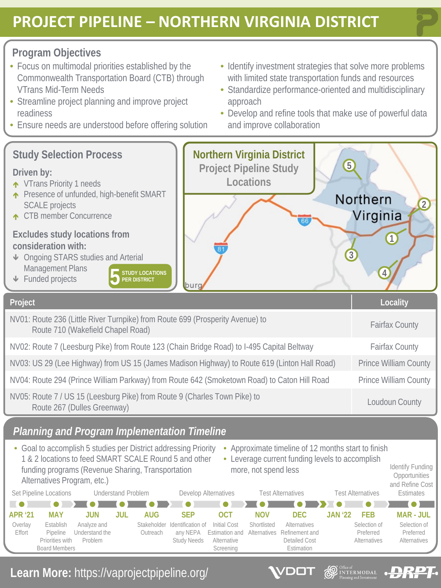# **PROJECT PIPELINE – NORTHERN VIRGINIA DISTRICT**

### **Program Objectives**

- Focus on multimodal priorities established by the Commonwealth Transportation Board (CTB) through VTrans Mid-Term Needs
- Streamline project planning and improve project readiness
- Ensure needs are understood before offering solution
- Identify investment strategies that solve more problems with limited state transportation funds and resources
- Standardize performance-oriented and multidisciplinary approach
- Develop and refine tools that make use of powerful data and improve collaboration

**SEE DE DE DE DE DE DE DE DESCRIPTION DE LA CONSTRUCTION DE LA CONSTRUCTION DE LA CONSTRUCTION DE LA CONSTRUCTION DE LA CONSTRUCTION DE LA CONSTRUCTION DE LA CONSTRUCTION DE LA CONSTRUCTION DE LA CONSTRUCTION DE LA CONSTRU** 

DOT

**DRPT** 

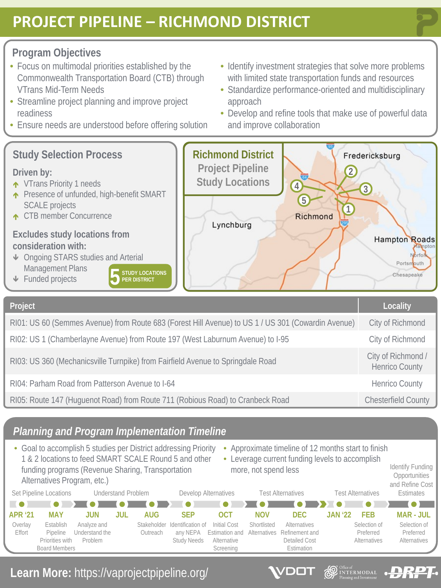# **PROJECT PIPELINE – RICHMOND DISTRICT**

### **Program Objectives**

- Focus on multimodal priorities established by the Commonwealth Transportation Board (CTB) through VTrans Mid-Term Needs
- Streamline project planning and improve project readiness
- Ensure needs are understood before offering solution
- Identify investment strategies that solve more problems with limited state transportation funds and resources
- Standardize performance-oriented and multidisciplinary approach
- Develop and refine tools that make use of powerful data and improve collaboration

**SEE DE DE DE DE DE DE DE DESCRIPTION DE LA CONSTRUCTION DE LA CONSTRUCTION DE LA CONSTRUCTION DE LA CONSTRUCTION DE LA CONSTRUCTION DE LA CONSTRUCTION DE LA CONSTRUCTION DE LA CONSTRUCTION DE LA CONSTRUCTION DE LA CONSTRU** 

DOT

**DRPT** 



RI05: Route 147 (Huguenot Road) from Route 711 (Robious Road) to Cranbeck Road Chesterfield County

## *Planning and Program Implementation Timeline*

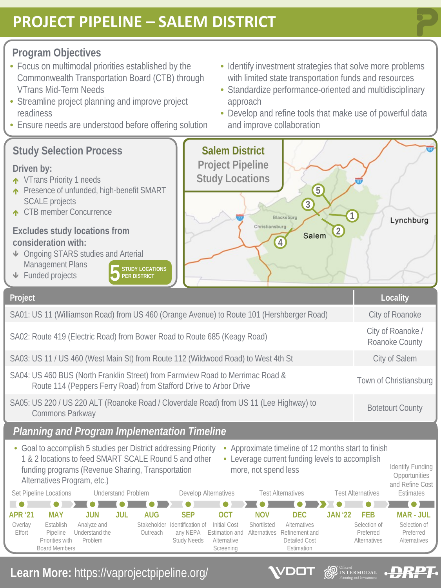# **PROJECT PIPELINE – SALEM DISTRICT**

### **Program Objectives**

- Focus on multimodal priorities established by the Commonwealth Transportation Board (CTB) through VTrans Mid-Term Needs
- Streamline project planning and improve project readiness
- Ensure needs are understood before offering solution
- Identify investment strategies that solve more problems with limited state transportation funds and resources
- Standardize performance-oriented and multidisciplinary approach
- Develop and refine tools that make use of powerful data and improve collaboration

**SEE DE DE DE DE DE DE DE DESCRIPTION DE LA CONSTRUCTION DE LA CONSTRUCTION DE LA CONSTRUCTION DE LA CONSTRUCTION DE LA CONSTRUCTION DE LA CONSTRUCTION DE LA CONSTRUCTION DE LA CONSTRUCTION DE LA CONSTRUCTION DE LA CONSTRU** 

DOT

**DRPT**